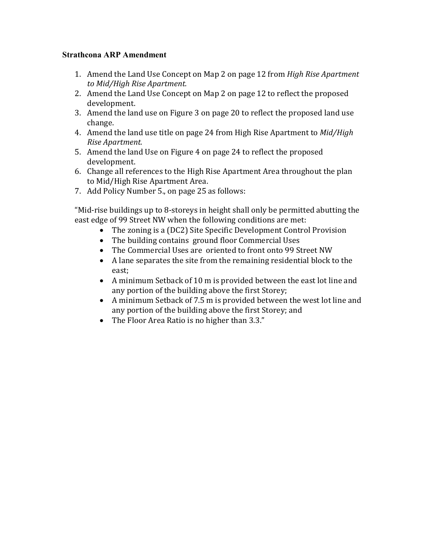# **Strathcona ARP Amendment**

- 1. Amend the Land Use Concept on Map 2 on page 12 from *High Rise Apartment to Mid/High Rise Apartment.*
- 2. Amend the Land Use Concept on Map 2 on page 12 to reflect the proposed development.
- 3. Amend the land use on Figure 3 on page 20 to reflect the proposed land use change.
- 4. Amend the land use title on page 24 from High Rise Apartment to *Mid/High Rise Apartment.*
- 5. Amend the land Use on Figure 4 on page 24 to reflect the proposed development.
- 6. Change all references to the High Rise Apartment Area throughout the plan to Mid/High Rise Apartment Area.
- 7. Add Policy Number 5., on page 25 as follows:

"Mid-rise buildings up to 8-storeys in height shall only be permitted abutting the east edge of 99 Street NW when the following conditions are met:

- The zoning is a (DC2) Site Specific Development Control Provision
- The building contains ground floor Commercial Uses<br>• The Commercial Uses are oriented to front onto 99 St
- The Commercial Uses are oriented to front onto 99 Street NW
- A lane separates the site from the remaining residential block to the east;
- A minimum Setback of 10 m is provided between the east lot line and any portion of the building above the first Storey;
- A minimum Setback of 7.5 m is provided between the west lot line and any portion of the building above the first Storey; and
- The Floor Area Ratio is no higher than 3.3."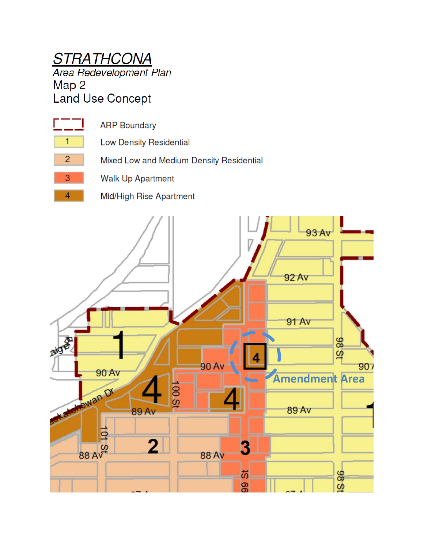# **STRATHCONA**

Area Redevelopment Plan Map 2 **Land Use Concept** 



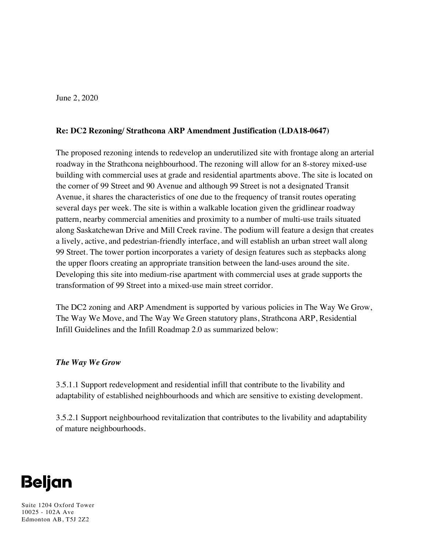June 2, 2020

# **Re: DC2 Rezoning/ Strathcona ARP Amendment Justification (LDA18-0647)**

The proposed rezoning intends to redevelop an underutilized site with frontage along an arterial roadway in the Strathcona neighbourhood. The rezoning will allow for an 8-storey mixed-use building with commercial uses at grade and residential apartments above. The site is located on the corner of 99 Street and 90 Avenue and although 99 Street is not a designated Transit Avenue, it shares the characteristics of one due to the frequency of transit routes operating several days per week. The site is within a walkable location given the gridlinear roadway pattern, nearby commercial amenities and proximity to a number of multi-use trails situated along Saskatchewan Drive and Mill Creek ravine. The podium will feature a design that creates a lively, active, and pedestrian-friendly interface, and will establish an urban street wall along 99 Street. The tower portion incorporates a variety of design features such as stepbacks along the upper floors creating an appropriate transition between the land-uses around the site. Developing this site into medium-rise apartment with commercial uses at grade supports the transformation of 99 Street into a mixed-use main street corridor.

The DC2 zoning and ARP Amendment is supported by various policies in The Way We Grow, The Way We Move, and The Way We Green statutory plans, Strathcona ARP, Residential Infill Guidelines and the Infill Roadmap 2.0 as summarized below:

## *The Way We Grow*

3.5.1.1 Support redevelopment and residential infill that contribute to the livability and adaptability of established neighbourhoods and which are sensitive to existing development.

3.5.2.1 Support neighbourhood revitalization that contributes to the livability and adaptability of mature neighbourhoods.



Suite 1204 Oxford Tower 10025 - 102A Ave Edmonton AB, T5J 2Z2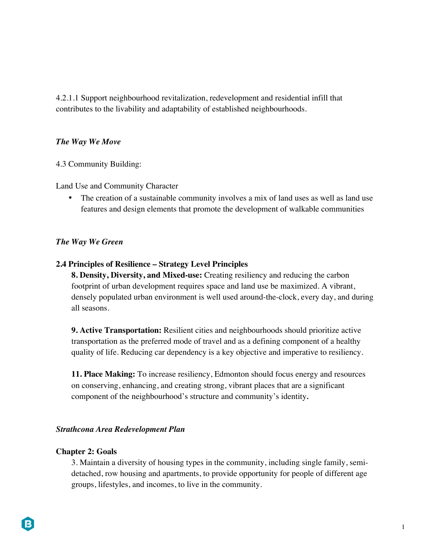4.2.1.1 Support neighbourhood revitalization, redevelopment and residential infill that contributes to the livability and adaptability of established neighbourhoods.

## *The Way We Move*

4.3 Community Building:

Land Use and Community Character

• The creation of a sustainable community involves a mix of land uses as well as land use features and design elements that promote the development of walkable communities

## *The Way We Green*

## **2.4 Principles of Resilience – Strategy Level Principles**

**8. Density, Diversity, and Mixed-use:** Creating resiliency and reducing the carbon footprint of urban development requires space and land use be maximized. A vibrant, densely populated urban environment is well used around-the-clock, every day, and during all seasons.

**9. Active Transportation:** Resilient cities and neighbourhoods should prioritize active transportation as the preferred mode of travel and as a defining component of a healthy quality of life. Reducing car dependency is a key objective and imperative to resiliency.

**11. Place Making:** To increase resiliency, Edmonton should focus energy and resources on conserving, enhancing, and creating strong, vibrant places that are a significant component of the neighbourhood's structure and community's identity*.*

## *Strathcona Area Redevelopment Plan*

#### **Chapter 2: Goals**

3. Maintain a diversity of housing types in the community, including single family, semidetached, row housing and apartments, to provide opportunity for people of different age groups, lifestyles, and incomes, to live in the community.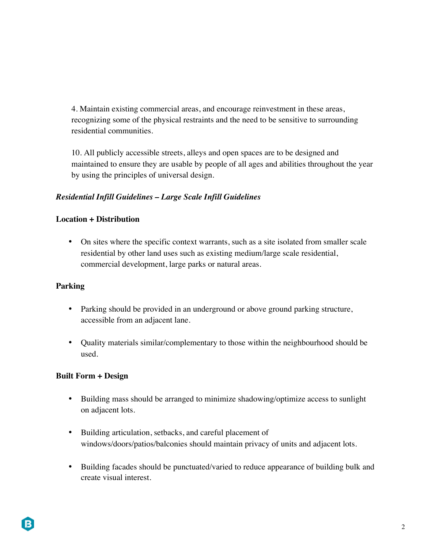4. Maintain existing commercial areas, and encourage reinvestment in these areas, recognizing some of the physical restraints and the need to be sensitive to surrounding residential communities.

10. All publicly accessible streets, alleys and open spaces are to be designed and maintained to ensure they are usable by people of all ages and abilities throughout the year by using the principles of universal design.

# *Residential Infill Guidelines – Large Scale Infill Guidelines*

# **Location + Distribution**

• On sites where the specific context warrants, such as a site isolated from smaller scale residential by other land uses such as existing medium/large scale residential, commercial development, large parks or natural areas.

# **Parking**

- Parking should be provided in an underground or above ground parking structure, accessible from an adjacent lane.
- Quality materials similar/complementary to those within the neighbourhood should be used.

## **Built Form + Design**

- Building mass should be arranged to minimize shadowing/optimize access to sunlight on adjacent lots.
- Building articulation, setbacks, and careful placement of windows/doors/patios/balconies should maintain privacy of units and adjacent lots.
- Building facades should be punctuated/varied to reduce appearance of building bulk and create visual interest.